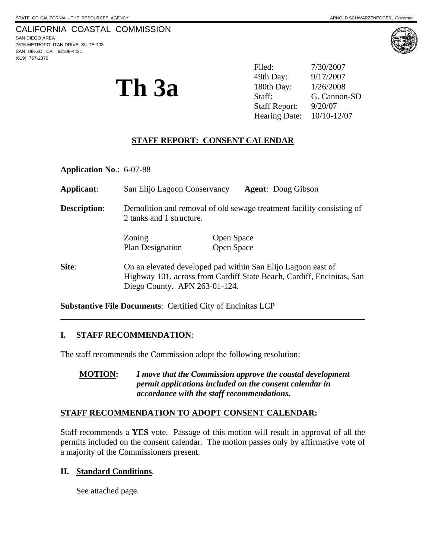7575 METROPOLITAN DRIVE, SUITE 103 SAN DIEGO, CA 92108-4421 (619) 767-2370

 $\overline{a}$ 



**Th 3a** <sup>49th Day:  $\frac{9/17/2007}{180th \, \text{Day:}}$  1/26/2008<br>Staff: G. Cannon</sup> Filed:  $7/30/2007$ 49th Day: G. Cannon-SD Staff Report: 9/20/07 Hearing Date: 10/10-12/07

# **STAFF REPORT: CONSENT CALENDAR**

**Application No**.: 6-07-88

**Applicant**: San Elijo Lagoon Conservancy **Agent**: Doug Gibson **Description:** Demolition and removal of old sewage treatment facility consisting of 2 tanks and 1 structure. Zoning Open Space Plan Designation Open Space **Site:** On an elevated developed pad within San Elijo Lagoon east of Highway 101, across from Cardiff State Beach, Cardiff, Encinitas, San Diego County. APN 263-01-124.

**Substantive File Documents**: Certified City of Encinitas LCP

#### **I. STAFF RECOMMENDATION**:

The staff recommends the Commission adopt the following resolution:

#### **STAFF RECOMMENDATION TO ADOPT CONSENT CALENDAR:**

Staff recommends a **YES** vote. Passage of this motion will result in approval of all the permits included on the consent calendar. The motion passes only by affirmative vote of a majority of the Commissioners present.

#### **II. Standard Conditions**.

See attached page.

**MOTION:** *I move that the Commission approve the coastal development permit applications included on the consent calendar in accordance with the staff recommendations.*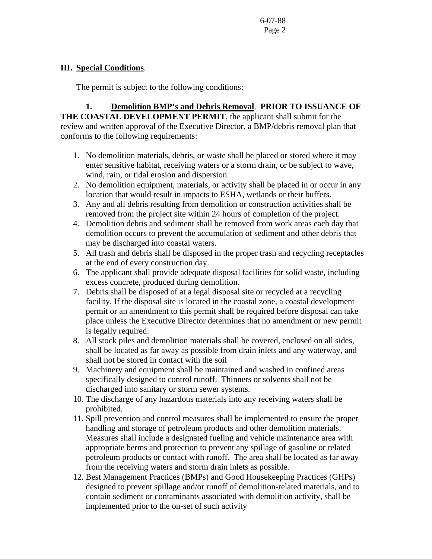# **III. Special Conditions**.

The permit is subject to the following conditions:

 **1. Demolition BMP's and Debris Removal**. **PRIOR TO ISSUANCE OF THE COASTAL DEVELOPMENT PERMIT**, the applicant shall submit for the review and written approval of the Executive Director, a BMP/debris removal plan that conforms to the following requirements:

- 1. No demolition materials, debris, or waste shall be placed or stored where it may enter sensitive habitat, receiving waters or a storm drain, or be subject to wave, wind, rain, or tidal erosion and dispersion.
- 2. No demolition equipment, materials, or activity shall be placed in or occur in any location that would result in impacts to ESHA, wetlands or their buffers.
- 3. Any and all debris resulting from demolition or construction activities shall be removed from the project site within 24 hours of completion of the project.
- 4. Demolition debris and sediment shall be removed from work areas each day that demolition occurs to prevent the accumulation of sediment and other debris that may be discharged into coastal waters.
- 5. All trash and debris shall be disposed in the proper trash and recycling receptacles at the end of every construction day.
- 6. The applicant shall provide adequate disposal facilities for solid waste, including excess concrete, produced during demolition.
- 7. Debris shall be disposed of at a legal disposal site or recycled at a recycling facility. If the disposal site is located in the coastal zone, a coastal development permit or an amendment to this permit shall be required before disposal can take place unless the Executive Director determines that no amendment or new permit is legally required.
- 8. All stock piles and demolition materials shall be covered, enclosed on all sides, shall be located as far away as possible from drain inlets and any waterway, and shall not be stored in contact with the soil
- 9. Machinery and equipment shall be maintained and washed in confined areas specifically designed to control runoff. Thinners or solvents shall not be discharged into sanitary or storm sewer systems.
- 10. The discharge of any hazardous materials into any receiving waters shall be prohibited.
- 11. Spill prevention and control measures shall be implemented to ensure the proper handling and storage of petroleum products and other demolition materials. Measures shall include a designated fueling and vehicle maintenance area with appropriate berms and protection to prevent any spillage of gasoline or related petroleum products or contact with runoff. The area shall be located as far away from the receiving waters and storm drain inlets as possible.
- 12. Best Management Practices (BMPs) and Good Housekeeping Practices (GHPs) designed to prevent spillage and/or runoff of demolition-related materials, and to contain sediment or contaminants associated with demolition activity, shall be implemented prior to the on-set of such activity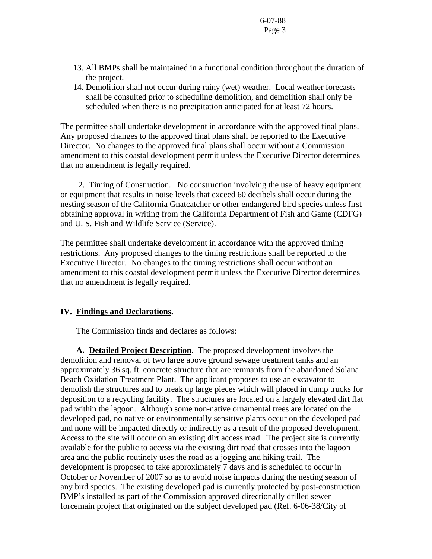- 13. All BMPs shall be maintained in a functional condition throughout the duration of the project.
- 14. Demolition shall not occur during rainy (wet) weather. Local weather forecasts shall be consulted prior to scheduling demolition, and demolition shall only be scheduled when there is no precipitation anticipated for at least 72 hours.

The permittee shall undertake development in accordance with the approved final plans. Any proposed changes to the approved final plans shall be reported to the Executive Director. No changes to the approved final plans shall occur without a Commission amendment to this coastal development permit unless the Executive Director determines that no amendment is legally required.

 2. Timing of Construction.No construction involving the use of heavy equipment or equipment that results in noise levels that exceed 60 decibels shall occur during the nesting season of the California Gnatcatcher or other endangered bird species unless first obtaining approval in writing from the California Department of Fish and Game (CDFG) and U. S. Fish and Wildlife Service (Service).

The permittee shall undertake development in accordance with the approved timing restrictions. Any proposed changes to the timing restrictions shall be reported to the Executive Director. No changes to the timing restrictions shall occur without an amendment to this coastal development permit unless the Executive Director determines that no amendment is legally required.

#### **IV. Findings and Declarations.**

The Commission finds and declares as follows:

**A. Detailed Project Description**. The proposed development involves the demolition and removal of two large above ground sewage treatment tanks and an approximately 36 sq. ft. concrete structure that are remnants from the abandoned Solana Beach Oxidation Treatment Plant. The applicant proposes to use an excavator to demolish the structures and to break up large pieces which will placed in dump trucks for deposition to a recycling facility. The structures are located on a largely elevated dirt flat pad within the lagoon. Although some non-native ornamental trees are located on the developed pad, no native or environmentally sensitive plants occur on the developed pad and none will be impacted directly or indirectly as a result of the proposed development. Access to the site will occur on an existing dirt access road. The project site is currently available for the public to access via the existing dirt road that crosses into the lagoon area and the public routinely uses the road as a jogging and hiking trail. The development is proposed to take approximately 7 days and is scheduled to occur in October or November of 2007 so as to avoid noise impacts during the nesting season of any bird species. The existing developed pad is currently protected by post-construction BMP's installed as part of the Commission approved directionally drilled sewer forcemain project that originated on the subject developed pad (Ref. 6-06-38/City of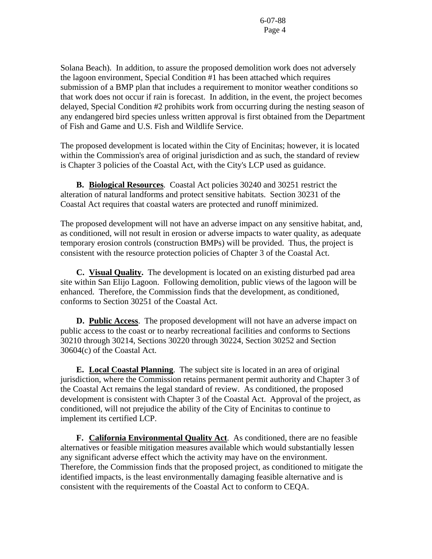Solana Beach). In addition, to assure the proposed demolition work does not adversely the lagoon environment, Special Condition #1 has been attached which requires submission of a BMP plan that includes a requirement to monitor weather conditions so that work does not occur if rain is forecast. In addition, in the event, the project becomes delayed, Special Condition #2 prohibits work from occurring during the nesting season of any endangered bird species unless written approval is first obtained from the Department of Fish and Game and U.S. Fish and Wildlife Service.

The proposed development is located within the City of Encinitas; however, it is located within the Commission's area of original jurisdiction and as such, the standard of review is Chapter 3 policies of the Coastal Act, with the City's LCP used as guidance.

 **B. Biological Resources**. Coastal Act policies 30240 and 30251 restrict the alteration of natural landforms and protect sensitive habitats. Section 30231 of the Coastal Act requires that coastal waters are protected and runoff minimized.

The proposed development will not have an adverse impact on any sensitive habitat, and, as conditioned, will not result in erosion or adverse impacts to water quality, as adequate temporary erosion controls (construction BMPs) will be provided. Thus, the project is consistent with the resource protection policies of Chapter 3 of the Coastal Act.

 **C. Visual Quality.** The development is located on an existing disturbed pad area site within San Elijo Lagoon. Following demolition, public views of the lagoon will be enhanced. Therefore, the Commission finds that the development, as conditioned, conforms to Section 30251 of the Coastal Act.

**D. Public Access**. The proposed development will not have an adverse impact on public access to the coast or to nearby recreational facilities and conforms to Sections 30210 through 30214, Sections 30220 through 30224, Section 30252 and Section 30604(c) of the Coastal Act.

**E. Local Coastal Planning**. The subject site is located in an area of original jurisdiction, where the Commission retains permanent permit authority and Chapter 3 of the Coastal Act remains the legal standard of review. As conditioned, the proposed development is consistent with Chapter 3 of the Coastal Act. Approval of the project, as conditioned, will not prejudice the ability of the City of Encinitas to continue to implement its certified LCP.

 **F. California Environmental Quality Act**. As conditioned, there are no feasible alternatives or feasible mitigation measures available which would substantially lessen any significant adverse effect which the activity may have on the environment. Therefore, the Commission finds that the proposed project, as conditioned to mitigate the identified impacts, is the least environmentally damaging feasible alternative and is consistent with the requirements of the Coastal Act to conform to CEQA.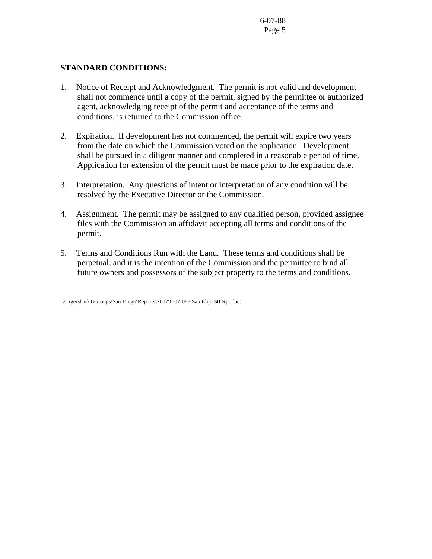### **STANDARD CONDITIONS:**

- 1. Notice of Receipt and Acknowledgment. The permit is not valid and development shall not commence until a copy of the permit, signed by the permittee or authorized agent, acknowledging receipt of the permit and acceptance of the terms and conditions, is returned to the Commission office.
- 2. Expiration. If development has not commenced, the permit will expire two years from the date on which the Commission voted on the application. Development shall be pursued in a diligent manner and completed in a reasonable period of time. Application for extension of the permit must be made prior to the expiration date.
- 3. Interpretation. Any questions of intent or interpretation of any condition will be resolved by the Executive Director or the Commission.
- 4. Assignment. The permit may be assigned to any qualified person, provided assignee files with the Commission an affidavit accepting all terms and conditions of the permit.
- 5. Terms and Conditions Run with the Land. These terms and conditions shall be perpetual, and it is the intention of the Commission and the permittee to bind all future owners and possessors of the subject property to the terms and conditions.

<sup>(\\</sup>Tigershark1\Groups\San Diego\Reports\2007\6-07-088 San Elijo Stf Rpt.doc)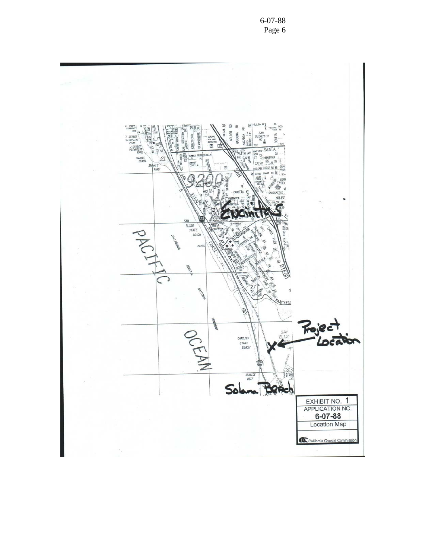